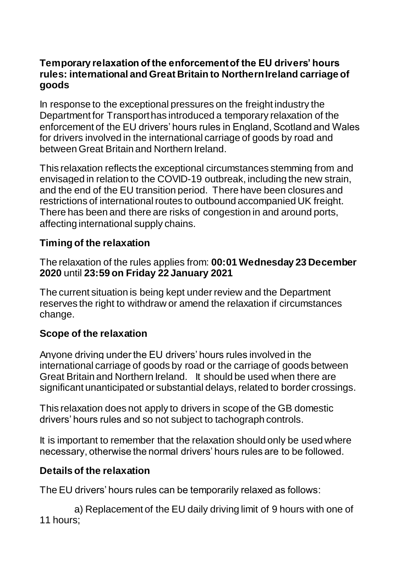### **Temporary relaxation of the enforcement of the EU drivers' hours rules: international and Great Britain to Northern Ireland carriage of goods**

In response to the exceptional pressures on the freight industry the Department for Transporthas introduced a temporary relaxation of the enforcement of the EU drivers' hours rules in England, Scotland and Wales for drivers involved in the international carriage of goods by road and between Great Britain and Northern Ireland.

This relaxation reflects the exceptional circumstances stemming from and envisaged in relation to the COVID-19 outbreak, including the new strain, and the end of the EU transition period. There have been closures and restrictions of international routes to outbound accompanied UK freight. There has been and there are risks of congestion in and around ports, affecting international supply chains.

## **Timing of the relaxation**

The relaxation of the rules applies from: **00:01 Wednesday 23 December 2020** until **23:59 on Friday 22 January 2021**

The current situation is being kept under review and the Department reserves the right to withdraw or amend the relaxation if circumstances change.

# **Scope of the relaxation**

Anyone driving under the EU drivers' hours rules involved in the international carriage of goods by road or the carriage of goods between Great Britain and Northern Ireland. It should be used when there are significant unanticipated or substantial delays, related to border crossings.

This relaxation does not apply to drivers in scope of the GB domestic drivers' hours rules and so not subject to tachograph controls.

It is important to remember that the relaxation should only be used where necessary, otherwise the normal drivers' hours rules are to be followed.

## **Details of the relaxation**

The EU drivers' hours rules can be temporarily relaxed as follows:

a) Replacement of the EU daily driving limit of 9 hours with one of 11 hours;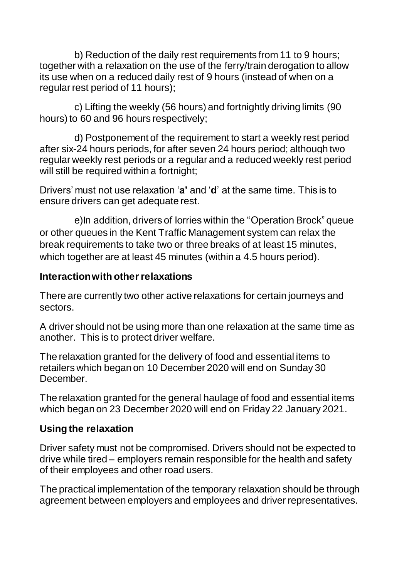b) Reduction of the daily rest requirements from 11 to 9 hours; together with a relaxation on the use of the ferry/train derogation to allow its use when on a reduced daily rest of 9 hours (instead of when on a regular rest period of 11 hours);

c) Lifting the weekly (56 hours) and fortnightly driving limits (90 hours) to 60 and 96 hours respectively;

d) Postponement of the requirement to start a weekly rest period after six-24 hours periods, for after seven 24 hours period; although two regular weekly rest periods or a regular and a reduced weekly rest period will still be required within a fortnight;

Drivers' must not use relaxation '**a'** and '**d**' at the same time. This is to ensure drivers can get adequate rest.

e)In addition, drivers of lorries within the "Operation Brock" queue or other queues in the Kent Traffic Management system can relax the break requirements to take two or three breaks of at least 15 minutes, which together are at least 45 minutes (within a 4.5 hours period).

### **Interaction with other relaxations**

There are currently two other active relaxations for certain journeys and sectors.

A driver should not be using more than one relaxation at the same time as another. This is to protect driver welfare.

The relaxation granted for the delivery of food and essential items to retailers which began on 10 December 2020 will end on Sunday 30 December.

The relaxation granted for the general haulage of food and essential items which began on 23 December 2020 will end on Friday 22 January 2021.

#### **Using the relaxation**

Driver safety must not be compromised. Drivers should not be expected to drive while tired – employers remain responsible for the health and safety of their employees and other road users.

The practical implementation of the temporary relaxation should be through agreement between employers and employees and driver representatives.